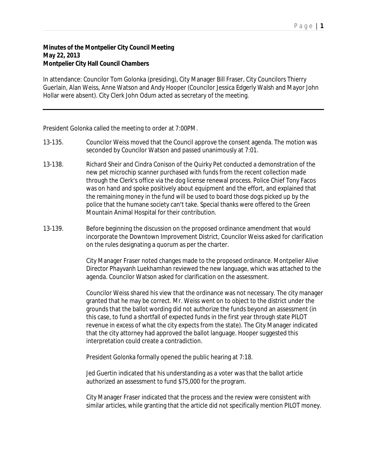## **Minutes of the Montpelier City Council Meeting May 22, 2013 Montpelier City Hall Council Chambers**

In attendance: Councilor Tom Golonka (presiding), City Manager Bill Fraser, City Councilors Thierry Guerlain, Alan Weiss, Anne Watson and Andy Hooper (Councilor Jessica Edgerly Walsh and Mayor John Hollar were absent). City Clerk John Odum acted as secretary of the meeting.

President Golonka called the meeting to order at 7:00PM.

- 13-135. Councilor Weiss moved that the Council approve the consent agenda. The motion was seconded by Councilor Watson and passed unanimously at 7:01.
- 13-138. Richard Sheir and Cindra Conison of the Quirky Pet conducted a demonstration of the new pet microchip scanner purchased with funds from the recent collection made through the Clerk's office via the dog license renewal process. Police Chief Tony Facos was on hand and spoke positively about equipment and the effort, and explained that the remaining money in the fund will be used to board those dogs picked up by the police that the humane society can't take. Special thanks were offered to the Green Mountain Animal Hospital for their contribution.
- 13-139. Before beginning the discussion on the proposed ordinance amendment that would incorporate the Downtown Improvement District, Councilor Weiss asked for clarification on the rules designating a quorum as per the charter.

City Manager Fraser noted changes made to the proposed ordinance. Montpelier Alive Director Phayvanh Luekhamhan reviewed the new language, which was attached to the agenda. Councilor Watson asked for clarification on the assessment.

Councilor Weiss shared his view that the ordinance was not necessary. The city manager granted that he may be correct. Mr. Weiss went on to object to the district under the grounds that the ballot wording did not authorize the funds beyond an assessment (in this case, to fund a shortfall of expected funds in the first year through state PILOT revenue in excess of what the city expects from the state). The City Manager indicated that the city attorney had approved the ballot language. Hooper suggested this interpretation could create a contradiction.

President Golonka formally opened the public hearing at 7:18.

Jed Guertin indicated that his understanding as a voter was that the ballot article authorized an assessment to fund \$75,000 for the program.

City Manager Fraser indicated that the process and the review were consistent with similar articles, while granting that the article did not specifically mention PILOT money.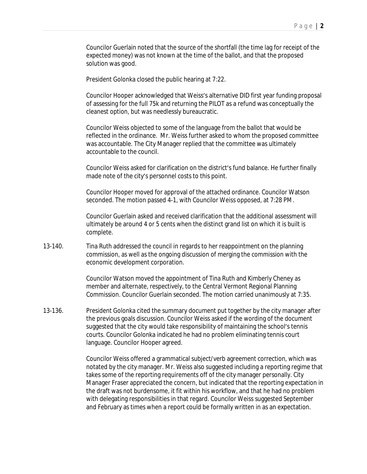Councilor Guerlain noted that the source of the shortfall (the time lag for receipt of the expected money) was not known at the time of the ballot, and that the proposed solution was good.

President Golonka closed the public hearing at 7:22.

Councilor Hooper acknowledged that Weiss's alternative DID first year funding proposal of assessing for the full 75k and returning the PILOT as a refund was conceptually the cleanest option, but was needlessly bureaucratic.

Councilor Weiss objected to some of the language from the ballot that would be reflected in the ordinance. Mr. Weiss further asked to whom the proposed committee was accountable. The City Manager replied that the committee was ultimately accountable to the council.

Councilor Weiss asked for clarification on the district's fund balance. He further finally made note of the city's personnel costs to this point.

Councilor Hooper moved for approval of the attached ordinance. Councilor Watson seconded. The motion passed 4-1, with Councilor Weiss opposed, at 7:28 PM.

Councilor Guerlain asked and received clarification that the additional assessment will ultimately be around 4 or 5 cents when the distinct grand list on which it is built is complete.

13-140. Tina Ruth addressed the council in regards to her reappointment on the planning commission, as well as the ongoing discussion of merging the commission with the economic development corporation.

> Councilor Watson moved the appointment of Tina Ruth and Kimberly Cheney as member and alternate, respectively, to the Central Vermont Regional Planning Commission. Councilor Guerlain seconded. The motion carried unanimously at 7:35.

13-136. President Golonka cited the summary document put together by the city manager after the previous goals discussion. Councilor Weiss asked if the wording of the document suggested that the city would take responsibility of maintaining the school's tennis courts. Councilor Golonka indicated he had no problem eliminating tennis court language. Councilor Hooper agreed.

> Councilor Weiss offered a grammatical subject/verb agreement correction, which was notated by the city manager. Mr. Weiss also suggested including a reporting regime that takes some of the reporting requirements off of the city manager personally. City Manager Fraser appreciated the concern, but indicated that the reporting expectation in the draft was not burdensome, it fit within his workflow, and that he had no problem with delegating responsibilities in that regard. Councilor Weiss suggested September and February as times when a report could be formally written in as an expectation.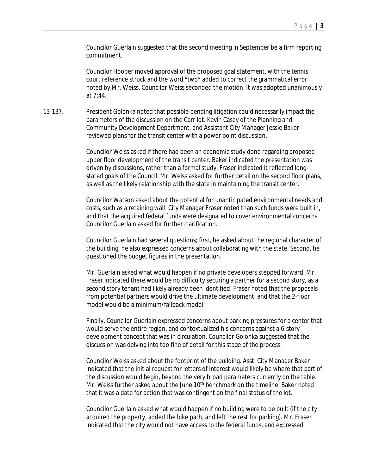Councilor Guerlain suggested that the second meeting in September be a firm reporting commitment.

Councilor Hooper moved approval of the proposed goal statement, with the tennis court reference struck and the word "two" added to correct the grammatical error noted by Mr. Weiss. Councilor Weiss seconded the motion. It was adopted unanimously at 7:44.

13-137. President Golonka noted that possible pending litigation could necessarily impact the parameters of the discussion on the Carr lot. Kevin Casey of the Planning and Community Development Department, and Assistant City Manager Jessie Baker reviewed plans for the transit center with a power point discussion.

> Councilor Weiss asked if there had been an economic study done regarding proposed upper floor development of the transit center. Baker indicated the presentation was driven by discussions, rather than a formal study. Fraser indicated it reflected longstated goals of the Council. Mr. Weiss asked for further detail on the second floor plans, as well as the likely relationship with the state in maintaining the transit center.

> Councilor Watson asked about the potential for unanticipated environmental needs and costs, such as a retaining wall. City Manager Fraser noted than such funds were built in, and that the acquired federal funds were designated to cover environmental concerns. Councilor Guerlain asked for further clarification.

> Councilor Guerlain had several questions; first, he asked about the regional character of the building, he also expressed concerns about collaborating with the state. Second, he questioned the budget figures in the presentation.

Mr. Guerlain asked what would happen if no private developers stepped forward. Mr. Fraser indicated there would be no difficulty securing a partner for a second story, as a second story tenant had likely already been identified. Fraser noted that the proposals from potential partners would drive the ultimate development, and that the 2-floor model would be a minimum/fallback model.

Finally, Councilor Guerlain expressed concerns about parking pressures for a center that would serve the entire region, and contextualized his concerns against a 6-story development concept that was in circulation. Councilor Golonka suggested that the discussion was delving into too fine of detail for this stage of the process.

Councilor Weiss asked about the footprint of the building. Asst. City Manager Baker indicated that the initial request for letters of interest would likely be where that part of the discussion would begin, beyond the very broad parameters currently on the table. Mr. Weiss further asked about the June 10<sup>th</sup> benchmark on the timeline. Baker noted that it was a date for action that was contingent on the final status of the lot.

Councilor Guerlain asked what would happen if no building were to be built (if the city acquired the property, added the bike path, and left the rest for parking). Mr. Fraser indicated that the city would not have access to the federal funds, and expressed